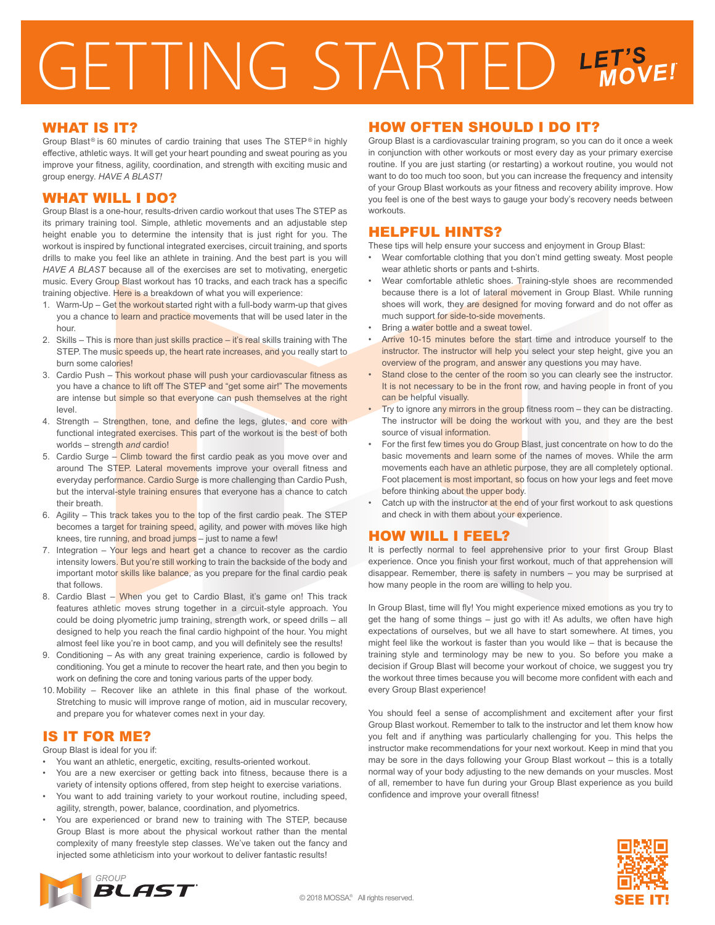# GETTING STARTED LET'S

#### WHAT IS IT?

Group Blast<sup>®</sup> is 60 minutes of cardio training that uses The STEP® in highly effective, athletic ways. It will get your heart pounding and sweat pouring as you improve your fitness, agility, coordination, and strength with exciting music and group energy. *HAVE A BLAST!*

## WHAT WILL I DO?

Group Blast is a one-hour, results-driven cardio workout that uses The STEP as its primary training tool. Simple, athletic movements and an adjustable step height enable you to determine the intensity that is just right for you. The workout is inspired by functional integrated exercises, circuit training, and sports drills to make you feel like an athlete in training. And the best part is you will *HAVE A BLAST* because all of the exercises are set to motivating, energetic music. Every Group Blast workout has 10 tracks, and each track has a specific training objective. Here is a breakdown of what you will experience:

- 1. Warm-Up Get the workout started right with a full-body warm-up that gives you a chance to learn and practice movements that will be used later in the hour.
- 2. Skills This is more than just skills practice it's real skills training with The STEP. The music speeds up, the heart rate increases, and you really start to burn some calories!
- 3. Cardio Push This workout phase will push your cardiovascular fitness as you have a chance to lift off The STEP and "get some air!" The movements are intense but simple so that everyone can push themselves at the right level.
- 4. Strength Strengthen, tone, and define the legs, glutes, and core with functional integrated exercises. This part of the workout is the best of both worlds – strength *and* cardio!
- 5. Cardio Surge Climb toward the first cardio peak as you move over and around The STEP. Lateral movements improve your overall fitness and everyday performance. Cardio Surge is more challenging than Cardio Push, but the interval-style training ensures that everyone has a chance to catch their breath.
- 6. Agility This track takes you to the top of the first cardio peak. The STEP becomes a target for training speed, agility, and power with moves like high knees, tire running, and broad jumps - just to name a few!
- 7. Integration Your legs and heart get a chance to recover as the cardio intensity lowers. But you're still working to train the backside of the body and important motor skills like balance, as you prepare for the final cardio peak that follows.
- 8. Cardio Blast When you get to Cardio Blast, it's game on! This track features athletic moves strung together in a circuit-style approach. You could be doing plyometric jump training, strength work, or speed drills – all designed to help you reach the final cardio highpoint of the hour. You might almost feel like you're in boot camp, and you will definitely see the results!
- 9. Conditioning As with any great training experience, cardio is followed by conditioning. You get a minute to recover the heart rate, and then you begin to work on defining the core and toning various parts of the upper body.
- 10. Mobility Recover like an athlete in this final phase of the workout. Stretching to music will improve range of motion, aid in muscular recovery, and prepare you for whatever comes next in your day.

# IS IT FOR ME?

Group Blast is ideal for you if:

- You want an athletic, energetic, exciting, results-oriented workout.
- You are a new exerciser or getting back into fitness, because there is a variety of intensity options offered, from step height to exercise variations.
- You want to add training variety to your workout routine, including speed, agility, strength, power, balance, coordination, and plyometrics.
- You are experienced or brand new to training with The STEP, because Group Blast is more about the physical workout rather than the mental complexity of many freestyle step classes. We've taken out the fancy and injected some athleticism into your workout to deliver fantastic results!

## HOW OFTEN SHOULD I DO IT?

Group Blast is a cardiovascular training program, so you can do it once a week in conjunction with other workouts or most every day as your primary exercise routine. If you are just starting (or restarting) a workout routine, you would not want to do too much too soon, but you can increase the frequency and intensity of your Group Blast workouts as your fitness and recovery ability improve. How you feel is one of the best ways to gauge your body's recovery needs between workouts.

#### HELPFUL HINTS?

These tips will help ensure your success and enjoyment in Group Blast:

- Wear comfortable clothing that you don't mind getting sweaty. Most people wear athletic shorts or pants and t-shirts.
- Wear comfortable athletic shoes. Training-style shoes are recommended because there is a lot of lateral movement in Group Blast. While running shoes will work, they are designed for moving forward and do not offer as much support for side-to-side movements.
- Bring a water bottle and a sweat towel.
- Arrive 10-15 minutes before the start time and introduce yourself to the instructor. The instructor will help you select your step height, give you an overview of the program, and answer any questions you may have.
- Stand close to the center of the room so you can clearly see the instructor. It is not necessary to be in the front row, and having people in front of you can be helpful visually.
- Try to ignore any mirrors in the group fitness room they can be distracting. The instructor will be doing the workout with you, and they are the best source of visual information.
- For the first few times you do Group Blast, just concentrate on how to do the basic movements and learn some of the names of moves. While the arm movements each have an athletic purpose, they are all completely optional. Foot placement is most important, so focus on how your legs and feet move before thinking about the upper body.
- Catch up with the instructor at the end of your first workout to ask questions and check in with them about your experience.

### HOW WILL I FEEL?

It is perfectly normal to feel apprehensive prior to your first Group Blast experience. Once you finish your first workout, much of that apprehension will disappear. Remember, there is safety in numbers – you may be surprised at how many people in the room are willing to help you.

In Group Blast, time will fly! You might experience mixed emotions as you try to get the hang of some things – just go with it! As adults, we often have high expectations of ourselves, but we all have to start somewhere. At times, you might feel like the workout is faster than you would like – that is because the training style and terminology may be new to you. So before you make a decision if Group Blast will become your workout of choice, we suggest you try the workout three times because you will become more confident with each and every Group Blast experience!

You should feel a sense of accomplishment and excitement after your first Group Blast workout. Remember to talk to the instructor and let them know how you felt and if anything was particularly challenging for you. This helps the instructor make recommendations for your next workout. Keep in mind that you may be sore in the days following your Group Blast workout – this is a totally normal way of your body adjusting to the new demands on your muscles. Most of all, remember to have fun during your Group Blast experience as you build confidence and improve your overall fitness!